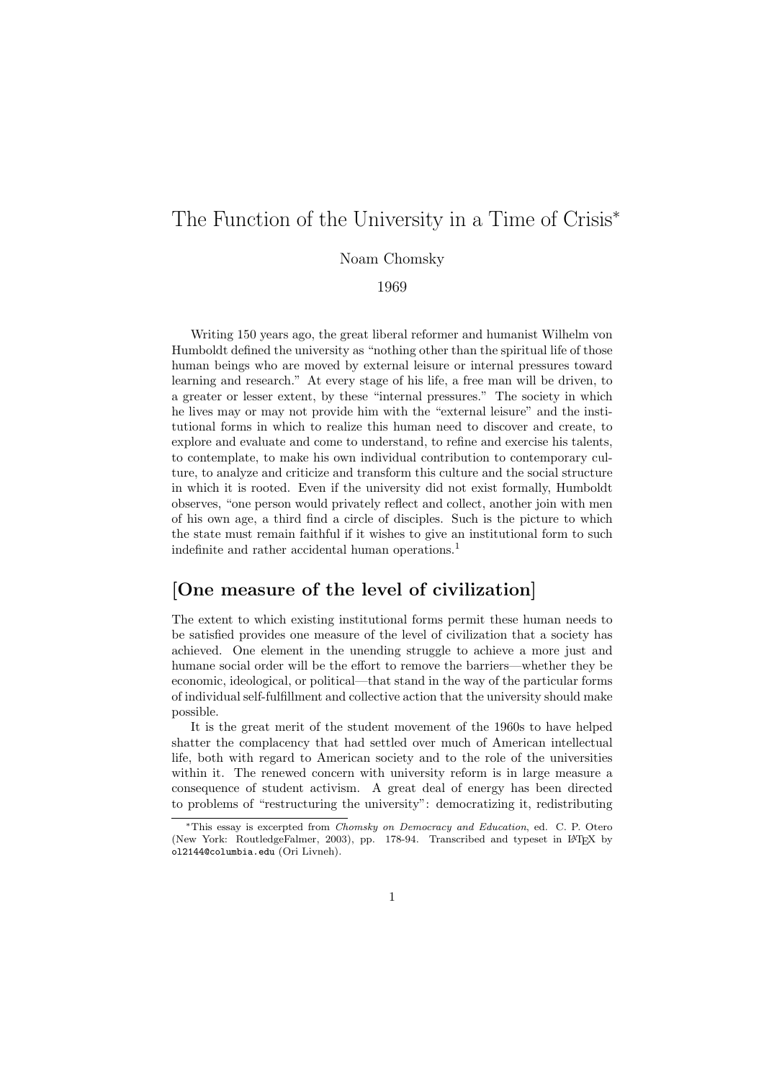# The Function of the University in a Time of Crisis<sup>\*</sup>

Noam Chomsky

1969

Writing 150 years ago, the great liberal reformer and humanist Wilhelm von Humboldt defined the university as "nothing other than the spiritual life of those human beings who are moved by external leisure or internal pressures toward learning and research." At every stage of his life, a free man will be driven, to a greater or lesser extent, by these "internal pressures." The society in which he lives may or may not provide him with the "external leisure" and the institutional forms in which to realize this human need to discover and create, to explore and evaluate and come to understand, to refine and exercise his talents, to contemplate, to make his own individual contribution to contemporary culture, to analyze and criticize and transform this culture and the social structure in which it is rooted. Even if the university did not exist formally, Humboldt observes, "one person would privately reflect and collect, another join with men of his own age, a third find a circle of disciples. Such is the picture to which the state must remain faithful if it wishes to give an institutional form to such indefinite and rather accidental human operations.<sup>1</sup>

### [One measure of the level of civilization]

The extent to which existing institutional forms permit these human needs to be satisfied provides one measure of the level of civilization that a society has achieved. One element in the unending struggle to achieve a more just and humane social order will be the effort to remove the barriers—whether they be economic, ideological, or political—that stand in the way of the particular forms of individual self-fulfillment and collective action that the university should make possible.

It is the great merit of the student movement of the 1960s to have helped shatter the complacency that had settled over much of American intellectual life, both with regard to American society and to the role of the universities within it. The renewed concern with university reform is in large measure a consequence of student activism. A great deal of energy has been directed to problems of "restructuring the university": democratizing it, redistributing

<sup>∗</sup>This essay is excerpted from Chomsky on Democracy and Education, ed. C. P. Otero (New York: RoutledgeFalmer, 2003), pp. 178-94. Transcribed and typeset in LATEX by ol2144@columbia.edu (Ori Livneh).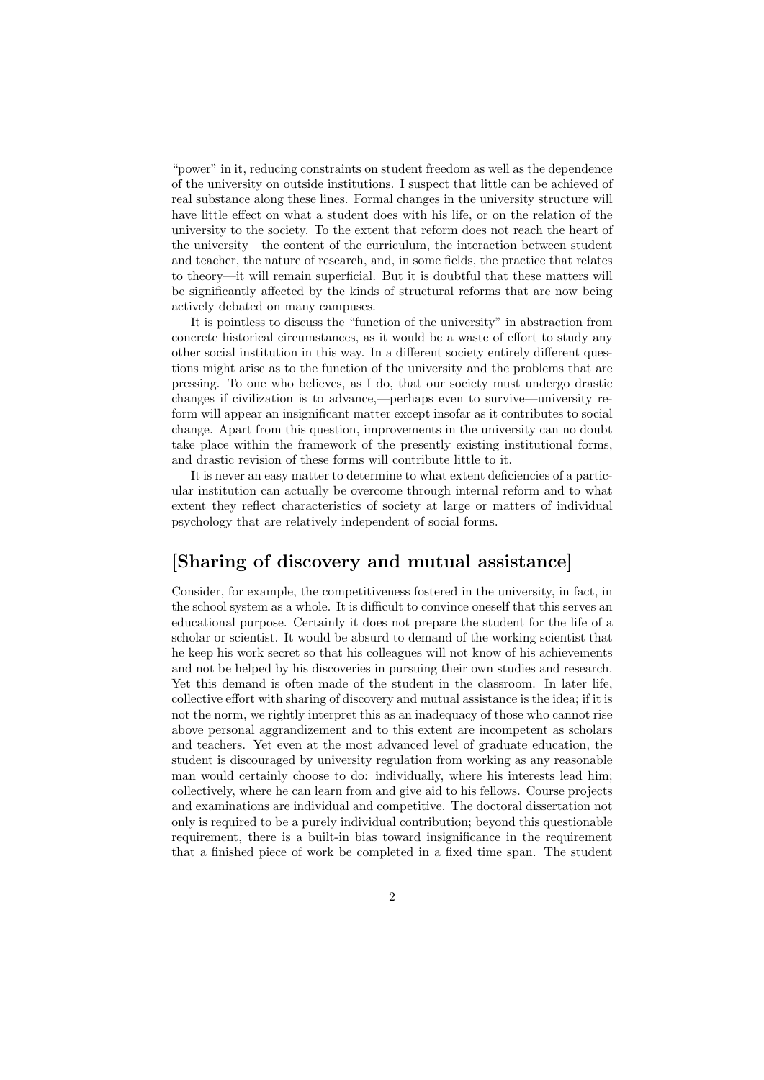"power" in it, reducing constraints on student freedom as well as the dependence of the university on outside institutions. I suspect that little can be achieved of real substance along these lines. Formal changes in the university structure will have little effect on what a student does with his life, or on the relation of the university to the society. To the extent that reform does not reach the heart of the university—the content of the curriculum, the interaction between student and teacher, the nature of research, and, in some fields, the practice that relates to theory—it will remain superficial. But it is doubtful that these matters will be significantly affected by the kinds of structural reforms that are now being actively debated on many campuses.

It is pointless to discuss the "function of the university" in abstraction from concrete historical circumstances, as it would be a waste of effort to study any other social institution in this way. In a different society entirely different questions might arise as to the function of the university and the problems that are pressing. To one who believes, as I do, that our society must undergo drastic changes if civilization is to advance,—perhaps even to survive—university reform will appear an insignificant matter except insofar as it contributes to social change. Apart from this question, improvements in the university can no doubt take place within the framework of the presently existing institutional forms, and drastic revision of these forms will contribute little to it.

It is never an easy matter to determine to what extent deficiencies of a particular institution can actually be overcome through internal reform and to what extent they reflect characteristics of society at large or matters of individual psychology that are relatively independent of social forms.

### [Sharing of discovery and mutual assistance]

Consider, for example, the competitiveness fostered in the university, in fact, in the school system as a whole. It is difficult to convince oneself that this serves an educational purpose. Certainly it does not prepare the student for the life of a scholar or scientist. It would be absurd to demand of the working scientist that he keep his work secret so that his colleagues will not know of his achievements and not be helped by his discoveries in pursuing their own studies and research. Yet this demand is often made of the student in the classroom. In later life, collective effort with sharing of discovery and mutual assistance is the idea; if it is not the norm, we rightly interpret this as an inadequacy of those who cannot rise above personal aggrandizement and to this extent are incompetent as scholars and teachers. Yet even at the most advanced level of graduate education, the student is discouraged by university regulation from working as any reasonable man would certainly choose to do: individually, where his interests lead him; collectively, where he can learn from and give aid to his fellows. Course projects and examinations are individual and competitive. The doctoral dissertation not only is required to be a purely individual contribution; beyond this questionable requirement, there is a built-in bias toward insignificance in the requirement that a finished piece of work be completed in a fixed time span. The student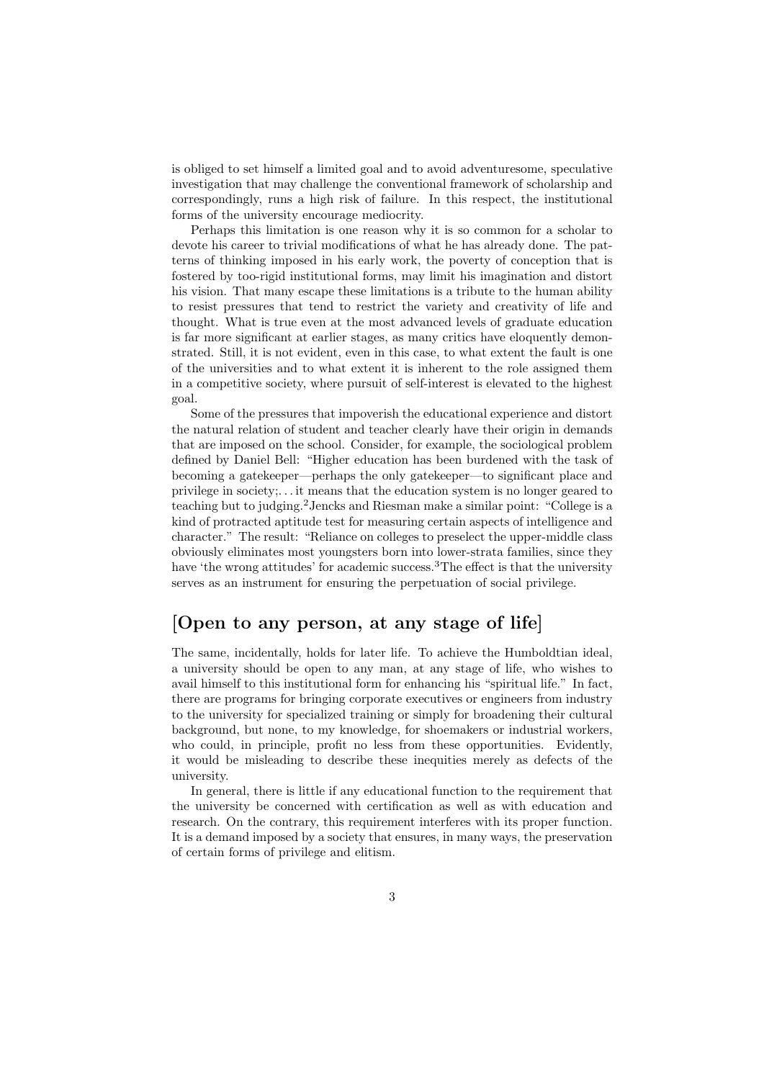is obliged to set himself a limited goal and to avoid adventuresome, speculative investigation that may challenge the conventional framework of scholarship and correspondingly, runs a high risk of failure. In this respect, the institutional forms of the university encourage mediocrity.

Perhaps this limitation is one reason why it is so common for a scholar to devote his career to trivial modifications of what he has already done. The patterns of thinking imposed in his early work, the poverty of conception that is fostered by too-rigid institutional forms, may limit his imagination and distort his vision. That many escape these limitations is a tribute to the human ability to resist pressures that tend to restrict the variety and creativity of life and thought. What is true even at the most advanced levels of graduate education is far more significant at earlier stages, as many critics have eloquently demonstrated. Still, it is not evident, even in this case, to what extent the fault is one of the universities and to what extent it is inherent to the role assigned them in a competitive society, where pursuit of self-interest is elevated to the highest goal.

Some of the pressures that impoverish the educational experience and distort the natural relation of student and teacher clearly have their origin in demands that are imposed on the school. Consider, for example, the sociological problem defined by Daniel Bell: "Higher education has been burdened with the task of becoming a gatekeeper—perhaps the only gatekeeper—to significant place and privilege in society;. . . it means that the education system is no longer geared to teaching but to judging.2Jencks and Riesman make a similar point: "College is a kind of protracted aptitude test for measuring certain aspects of intelligence and character." The result: "Reliance on colleges to preselect the upper-middle class obviously eliminates most youngsters born into lower-strata families, since they have 'the wrong attitudes' for academic success.<sup>3</sup>The effect is that the university serves as an instrument for ensuring the perpetuation of social privilege.

### [Open to any person, at any stage of life]

The same, incidentally, holds for later life. To achieve the Humboldtian ideal, a university should be open to any man, at any stage of life, who wishes to avail himself to this institutional form for enhancing his "spiritual life." In fact, there are programs for bringing corporate executives or engineers from industry to the university for specialized training or simply for broadening their cultural background, but none, to my knowledge, for shoemakers or industrial workers, who could, in principle, profit no less from these opportunities. Evidently, it would be misleading to describe these inequities merely as defects of the university.

In general, there is little if any educational function to the requirement that the university be concerned with certification as well as with education and research. On the contrary, this requirement interferes with its proper function. It is a demand imposed by a society that ensures, in many ways, the preservation of certain forms of privilege and elitism.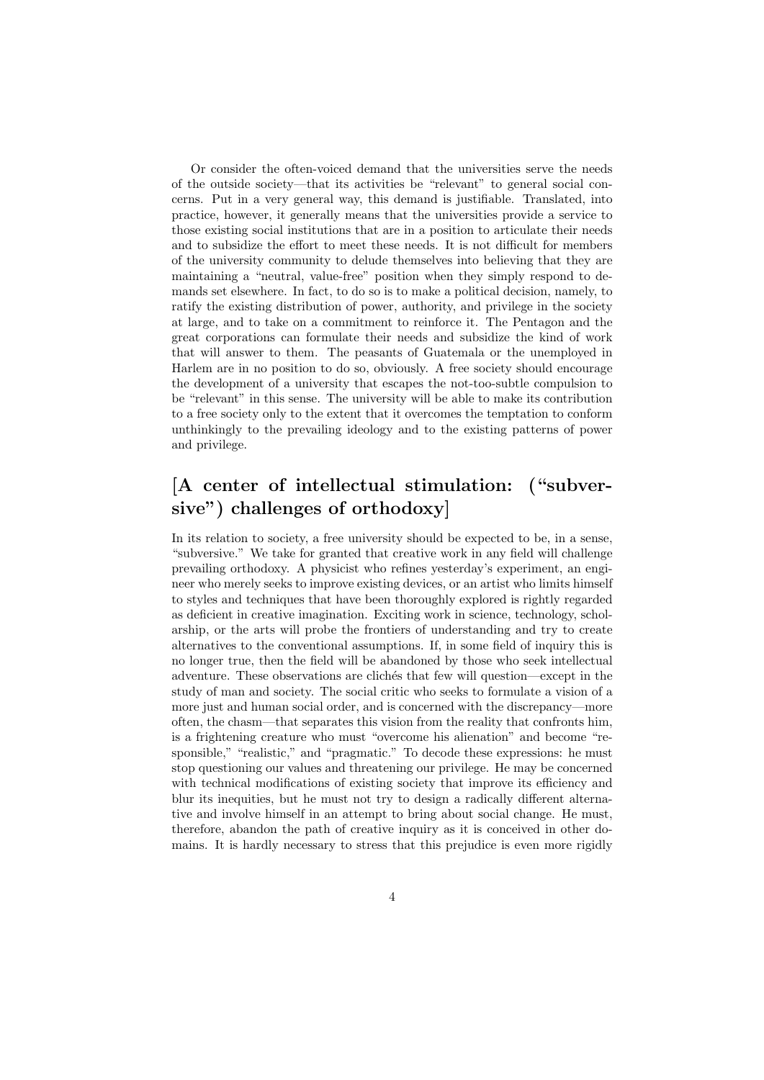Or consider the often-voiced demand that the universities serve the needs of the outside society—that its activities be "relevant" to general social concerns. Put in a very general way, this demand is justifiable. Translated, into practice, however, it generally means that the universities provide a service to those existing social institutions that are in a position to articulate their needs and to subsidize the effort to meet these needs. It is not difficult for members of the university community to delude themselves into believing that they are maintaining a "neutral, value-free" position when they simply respond to demands set elsewhere. In fact, to do so is to make a political decision, namely, to ratify the existing distribution of power, authority, and privilege in the society at large, and to take on a commitment to reinforce it. The Pentagon and the great corporations can formulate their needs and subsidize the kind of work that will answer to them. The peasants of Guatemala or the unemployed in Harlem are in no position to do so, obviously. A free society should encourage the development of a university that escapes the not-too-subtle compulsion to be "relevant" in this sense. The university will be able to make its contribution to a free society only to the extent that it overcomes the temptation to conform unthinkingly to the prevailing ideology and to the existing patterns of power and privilege.

## [A center of intellectual stimulation: ("subversive") challenges of orthodoxy]

In its relation to society, a free university should be expected to be, in a sense, "subversive." We take for granted that creative work in any field will challenge prevailing orthodoxy. A physicist who refines yesterday's experiment, an engineer who merely seeks to improve existing devices, or an artist who limits himself to styles and techniques that have been thoroughly explored is rightly regarded as deficient in creative imagination. Exciting work in science, technology, scholarship, or the arts will probe the frontiers of understanding and try to create alternatives to the conventional assumptions. If, in some field of inquiry this is no longer true, then the field will be abandoned by those who seek intellectual adventure. These observations are clich´es that few will question—except in the study of man and society. The social critic who seeks to formulate a vision of a more just and human social order, and is concerned with the discrepancy—more often, the chasm—that separates this vision from the reality that confronts him, is a frightening creature who must "overcome his alienation" and become "responsible," "realistic," and "pragmatic." To decode these expressions: he must stop questioning our values and threatening our privilege. He may be concerned with technical modifications of existing society that improve its efficiency and blur its inequities, but he must not try to design a radically different alternative and involve himself in an attempt to bring about social change. He must, therefore, abandon the path of creative inquiry as it is conceived in other domains. It is hardly necessary to stress that this prejudice is even more rigidly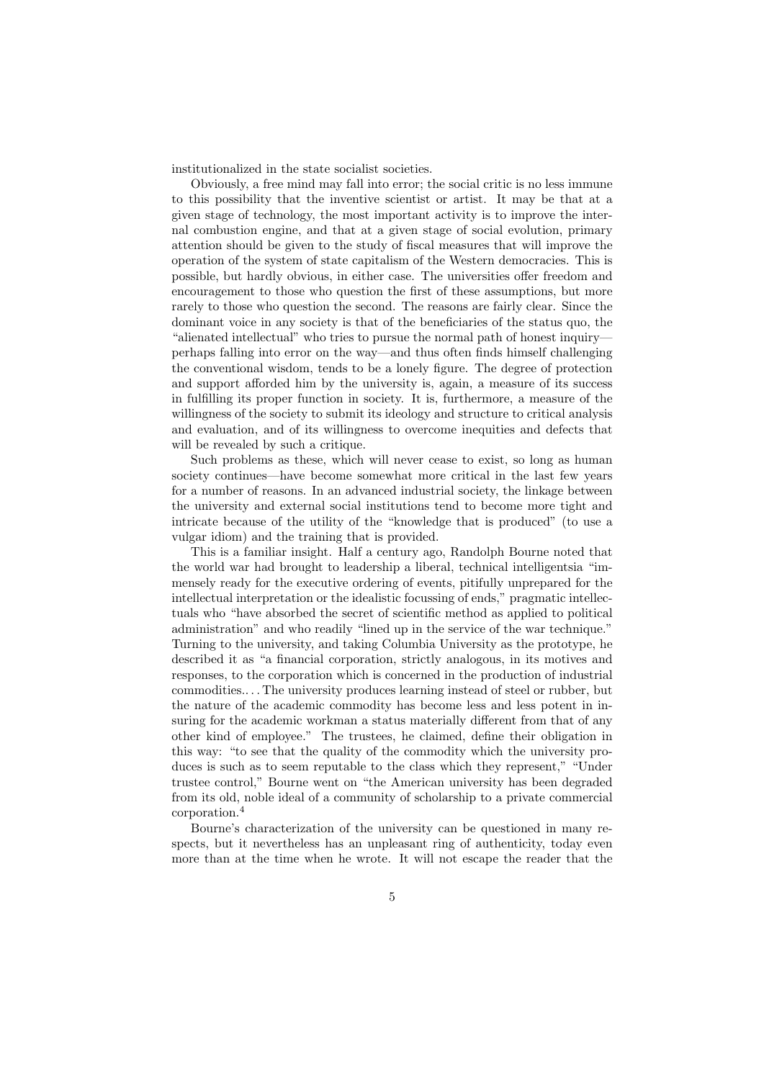institutionalized in the state socialist societies.

Obviously, a free mind may fall into error; the social critic is no less immune to this possibility that the inventive scientist or artist. It may be that at a given stage of technology, the most important activity is to improve the internal combustion engine, and that at a given stage of social evolution, primary attention should be given to the study of fiscal measures that will improve the operation of the system of state capitalism of the Western democracies. This is possible, but hardly obvious, in either case. The universities offer freedom and encouragement to those who question the first of these assumptions, but more rarely to those who question the second. The reasons are fairly clear. Since the dominant voice in any society is that of the beneficiaries of the status quo, the "alienated intellectual" who tries to pursue the normal path of honest inquiry perhaps falling into error on the way—and thus often finds himself challenging the conventional wisdom, tends to be a lonely figure. The degree of protection and support afforded him by the university is, again, a measure of its success in fulfilling its proper function in society. It is, furthermore, a measure of the willingness of the society to submit its ideology and structure to critical analysis and evaluation, and of its willingness to overcome inequities and defects that will be revealed by such a critique.

Such problems as these, which will never cease to exist, so long as human society continues—have become somewhat more critical in the last few years for a number of reasons. In an advanced industrial society, the linkage between the university and external social institutions tend to become more tight and intricate because of the utility of the "knowledge that is produced" (to use a vulgar idiom) and the training that is provided.

This is a familiar insight. Half a century ago, Randolph Bourne noted that the world war had brought to leadership a liberal, technical intelligentsia "immensely ready for the executive ordering of events, pitifully unprepared for the intellectual interpretation or the idealistic focussing of ends," pragmatic intellectuals who "have absorbed the secret of scientific method as applied to political administration" and who readily "lined up in the service of the war technique." Turning to the university, and taking Columbia University as the prototype, he described it as "a financial corporation, strictly analogous, in its motives and responses, to the corporation which is concerned in the production of industrial commodities.. . . The university produces learning instead of steel or rubber, but the nature of the academic commodity has become less and less potent in insuring for the academic workman a status materially different from that of any other kind of employee." The trustees, he claimed, define their obligation in this way: "to see that the quality of the commodity which the university produces is such as to seem reputable to the class which they represent," "Under trustee control," Bourne went on "the American university has been degraded from its old, noble ideal of a community of scholarship to a private commercial corporation.<sup>4</sup>

Bourne's characterization of the university can be questioned in many respects, but it nevertheless has an unpleasant ring of authenticity, today even more than at the time when he wrote. It will not escape the reader that the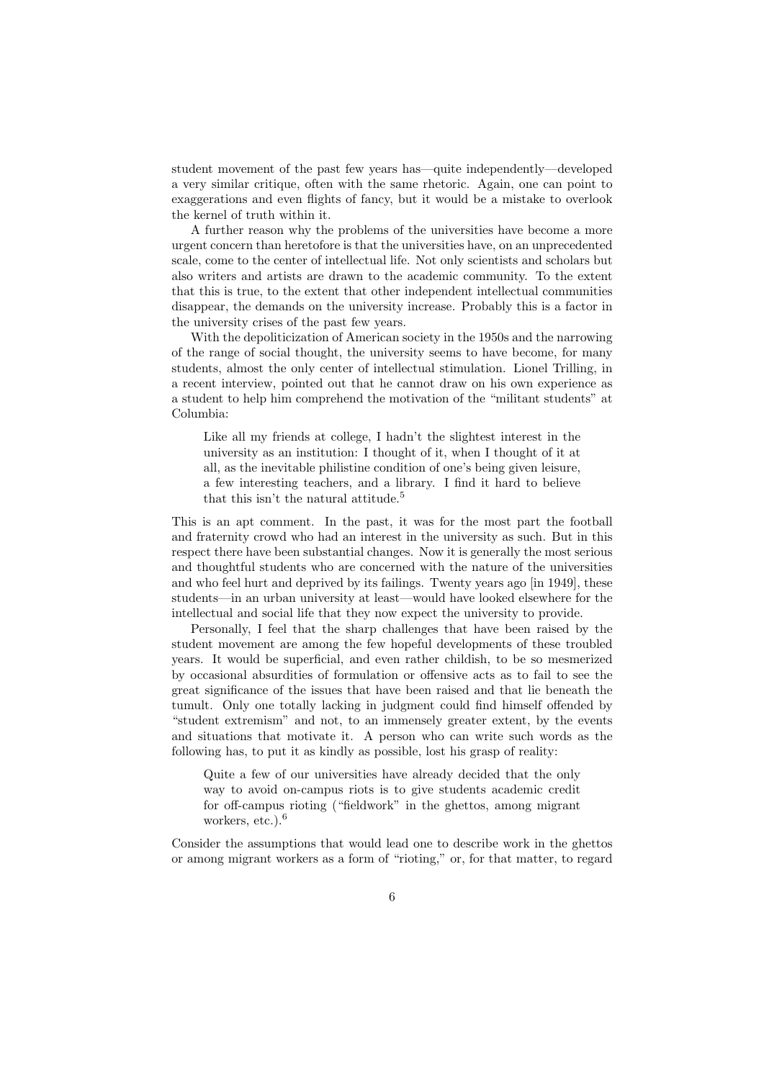student movement of the past few years has—quite independently—developed a very similar critique, often with the same rhetoric. Again, one can point to exaggerations and even flights of fancy, but it would be a mistake to overlook the kernel of truth within it.

A further reason why the problems of the universities have become a more urgent concern than heretofore is that the universities have, on an unprecedented scale, come to the center of intellectual life. Not only scientists and scholars but also writers and artists are drawn to the academic community. To the extent that this is true, to the extent that other independent intellectual communities disappear, the demands on the university increase. Probably this is a factor in the university crises of the past few years.

With the depoliticization of American society in the 1950s and the narrowing of the range of social thought, the university seems to have become, for many students, almost the only center of intellectual stimulation. Lionel Trilling, in a recent interview, pointed out that he cannot draw on his own experience as a student to help him comprehend the motivation of the "militant students" at Columbia:

Like all my friends at college, I hadn't the slightest interest in the university as an institution: I thought of it, when I thought of it at all, as the inevitable philistine condition of one's being given leisure, a few interesting teachers, and a library. I find it hard to believe that this isn't the natural attitude.<sup>5</sup>

This is an apt comment. In the past, it was for the most part the football and fraternity crowd who had an interest in the university as such. But in this respect there have been substantial changes. Now it is generally the most serious and thoughtful students who are concerned with the nature of the universities and who feel hurt and deprived by its failings. Twenty years ago [in 1949], these students—in an urban university at least—would have looked elsewhere for the intellectual and social life that they now expect the university to provide.

Personally, I feel that the sharp challenges that have been raised by the student movement are among the few hopeful developments of these troubled years. It would be superficial, and even rather childish, to be so mesmerized by occasional absurdities of formulation or offensive acts as to fail to see the great significance of the issues that have been raised and that lie beneath the tumult. Only one totally lacking in judgment could find himself offended by "student extremism" and not, to an immensely greater extent, by the events and situations that motivate it. A person who can write such words as the following has, to put it as kindly as possible, lost his grasp of reality:

Quite a few of our universities have already decided that the only way to avoid on-campus riots is to give students academic credit for off-campus rioting ("fieldwork" in the ghettos, among migrant workers, etc.).<sup>6</sup>

Consider the assumptions that would lead one to describe work in the ghettos or among migrant workers as a form of "rioting," or, for that matter, to regard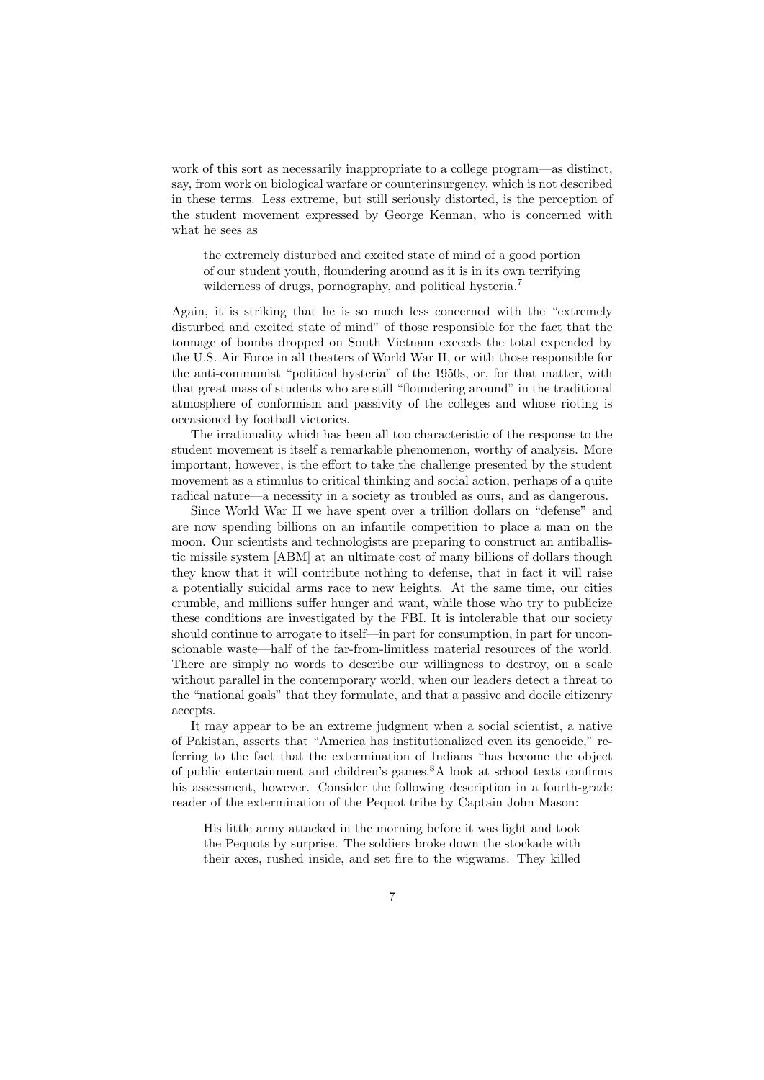work of this sort as necessarily inappropriate to a college program—as distinct, say, from work on biological warfare or counterinsurgency, which is not described in these terms. Less extreme, but still seriously distorted, is the perception of the student movement expressed by George Kennan, who is concerned with what he sees as

the extremely disturbed and excited state of mind of a good portion of our student youth, floundering around as it is in its own terrifying wilderness of drugs, pornography, and political hysteria.<sup>7</sup>

Again, it is striking that he is so much less concerned with the "extremely disturbed and excited state of mind" of those responsible for the fact that the tonnage of bombs dropped on South Vietnam exceeds the total expended by the U.S. Air Force in all theaters of World War II, or with those responsible for the anti-communist "political hysteria" of the 1950s, or, for that matter, with that great mass of students who are still "floundering around" in the traditional atmosphere of conformism and passivity of the colleges and whose rioting is occasioned by football victories.

The irrationality which has been all too characteristic of the response to the student movement is itself a remarkable phenomenon, worthy of analysis. More important, however, is the effort to take the challenge presented by the student movement as a stimulus to critical thinking and social action, perhaps of a quite radical nature—a necessity in a society as troubled as ours, and as dangerous.

Since World War II we have spent over a trillion dollars on "defense" and are now spending billions on an infantile competition to place a man on the moon. Our scientists and technologists are preparing to construct an antiballistic missile system [ABM] at an ultimate cost of many billions of dollars though they know that it will contribute nothing to defense, that in fact it will raise a potentially suicidal arms race to new heights. At the same time, our cities crumble, and millions suffer hunger and want, while those who try to publicize these conditions are investigated by the FBI. It is intolerable that our society should continue to arrogate to itself—in part for consumption, in part for unconscionable waste—half of the far-from-limitless material resources of the world. There are simply no words to describe our willingness to destroy, on a scale without parallel in the contemporary world, when our leaders detect a threat to the "national goals" that they formulate, and that a passive and docile citizenry accepts.

It may appear to be an extreme judgment when a social scientist, a native of Pakistan, asserts that "America has institutionalized even its genocide," referring to the fact that the extermination of Indians "has become the object of public entertainment and children's games.<sup>8</sup>A look at school texts confirms his assessment, however. Consider the following description in a fourth-grade reader of the extermination of the Pequot tribe by Captain John Mason:

His little army attacked in the morning before it was light and took the Pequots by surprise. The soldiers broke down the stockade with their axes, rushed inside, and set fire to the wigwams. They killed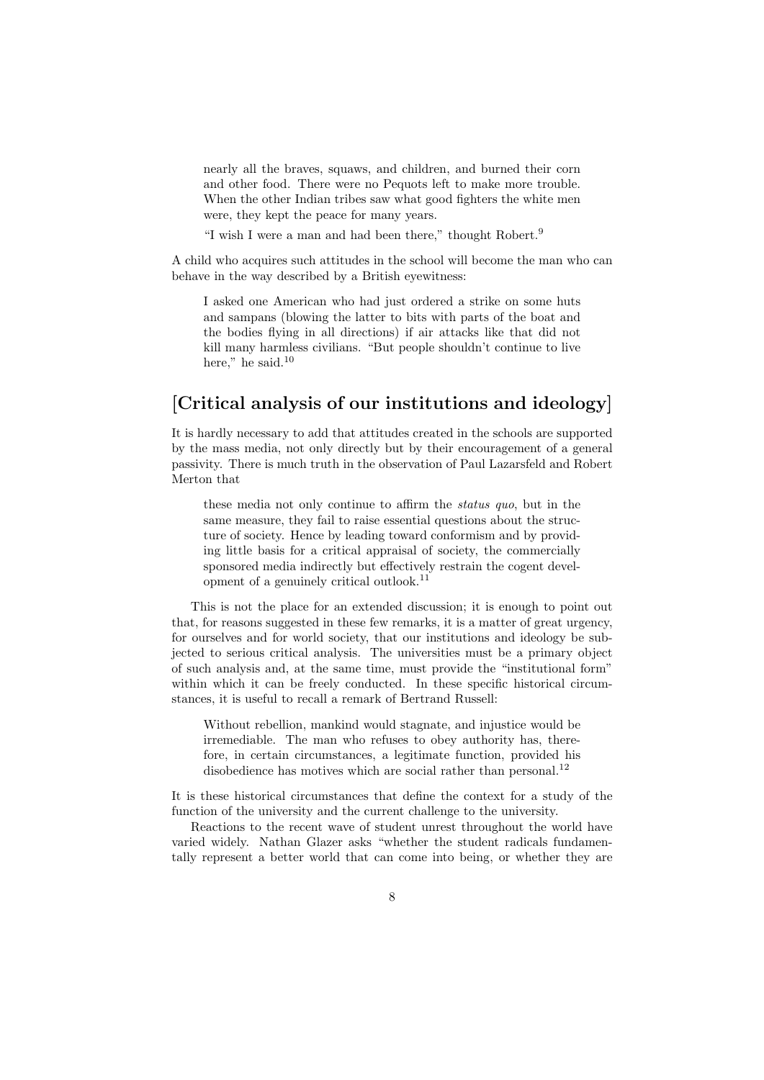nearly all the braves, squaws, and children, and burned their corn and other food. There were no Pequots left to make more trouble. When the other Indian tribes saw what good fighters the white men were, they kept the peace for many years.

"I wish I were a man and had been there," thought Robert.<sup>9</sup>

A child who acquires such attitudes in the school will become the man who can behave in the way described by a British eyewitness:

I asked one American who had just ordered a strike on some huts and sampans (blowing the latter to bits with parts of the boat and the bodies flying in all directions) if air attacks like that did not kill many harmless civilians. "But people shouldn't continue to live here," he said.<sup>10</sup>

### [Critical analysis of our institutions and ideology]

It is hardly necessary to add that attitudes created in the schools are supported by the mass media, not only directly but by their encouragement of a general passivity. There is much truth in the observation of Paul Lazarsfeld and Robert Merton that

these media not only continue to affirm the status quo, but in the same measure, they fail to raise essential questions about the structure of society. Hence by leading toward conformism and by providing little basis for a critical appraisal of society, the commercially sponsored media indirectly but effectively restrain the cogent development of a genuinely critical outlook.<sup>11</sup>

This is not the place for an extended discussion; it is enough to point out that, for reasons suggested in these few remarks, it is a matter of great urgency, for ourselves and for world society, that our institutions and ideology be subjected to serious critical analysis. The universities must be a primary object of such analysis and, at the same time, must provide the "institutional form" within which it can be freely conducted. In these specific historical circumstances, it is useful to recall a remark of Bertrand Russell:

Without rebellion, mankind would stagnate, and injustice would be irremediable. The man who refuses to obey authority has, therefore, in certain circumstances, a legitimate function, provided his disobedience has motives which are social rather than personal.<sup>12</sup>

It is these historical circumstances that define the context for a study of the function of the university and the current challenge to the university.

Reactions to the recent wave of student unrest throughout the world have varied widely. Nathan Glazer asks "whether the student radicals fundamentally represent a better world that can come into being, or whether they are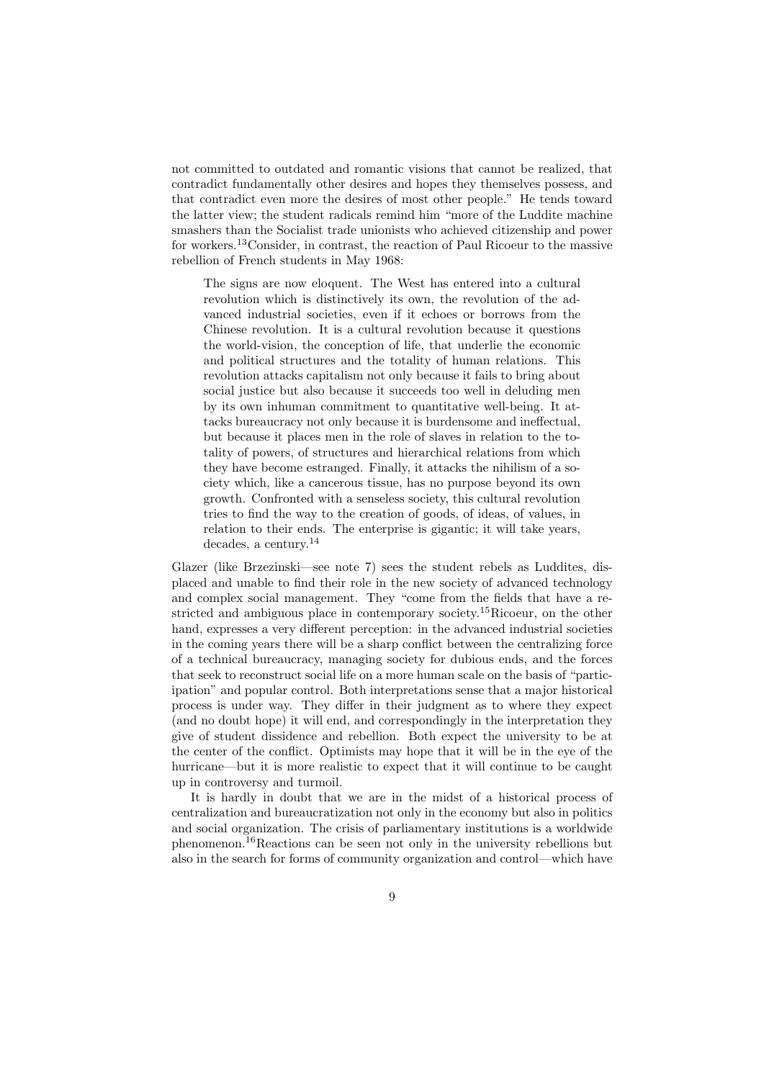not committed to outdated and romantic visions that cannot be realized, that contradict fundamentally other desires and hopes they themselves possess, and that contradict even more the desires of most other people." He tends toward the latter view; the student radicals remind him "more of the Luddite machine smashers than the Socialist trade unionists who achieved citizenship and power for workers.13Consider, in contrast, the reaction of Paul Ricoeur to the massive rebellion of French students in May 1968:

The signs are now eloquent. The West has entered into a cultural revolution which is distinctively its own, the revolution of the advanced industrial societies, even if it echoes or borrows from the Chinese revolution. It is a cultural revolution because it questions the world-vision, the conception of life, that underlie the economic and political structures and the totality of human relations. This revolution attacks capitalism not only because it fails to bring about social justice but also because it succeeds too well in deluding men by its own inhuman commitment to quantitative well-being. It attacks bureaucracy not only because it is burdensome and ineffectual, but because it places men in the role of slaves in relation to the totality of powers, of structures and hierarchical relations from which they have become estranged. Finally, it attacks the nihilism of a society which, like a cancerous tissue, has no purpose beyond its own growth. Confronted with a senseless society, this cultural revolution tries to find the way to the creation of goods, of ideas, of values, in relation to their ends. The enterprise is gigantic; it will take years, decades, a century.<sup>14</sup>

Glazer (like Brzezinski—see note 7) sees the student rebels as Luddites, displaced and unable to find their role in the new society of advanced technology and complex social management. They "come from the fields that have a restricted and ambiguous place in contemporary society.15Ricoeur, on the other hand, expresses a very different perception: in the advanced industrial societies in the coming years there will be a sharp conflict between the centralizing force of a technical bureaucracy, managing society for dubious ends, and the forces that seek to reconstruct social life on a more human scale on the basis of "participation" and popular control. Both interpretations sense that a major historical process is under way. They differ in their judgment as to where they expect (and no doubt hope) it will end, and correspondingly in the interpretation they give of student dissidence and rebellion. Both expect the university to be at the center of the conflict. Optimists may hope that it will be in the eye of the hurricane—but it is more realistic to expect that it will continue to be caught up in controversy and turmoil.

It is hardly in doubt that we are in the midst of a historical process of centralization and bureaucratization not only in the economy but also in politics and social organization. The crisis of parliamentary institutions is a worldwide phenomenon.<sup>16</sup>Reactions can be seen not only in the university rebellions but also in the search for forms of community organization and control—which have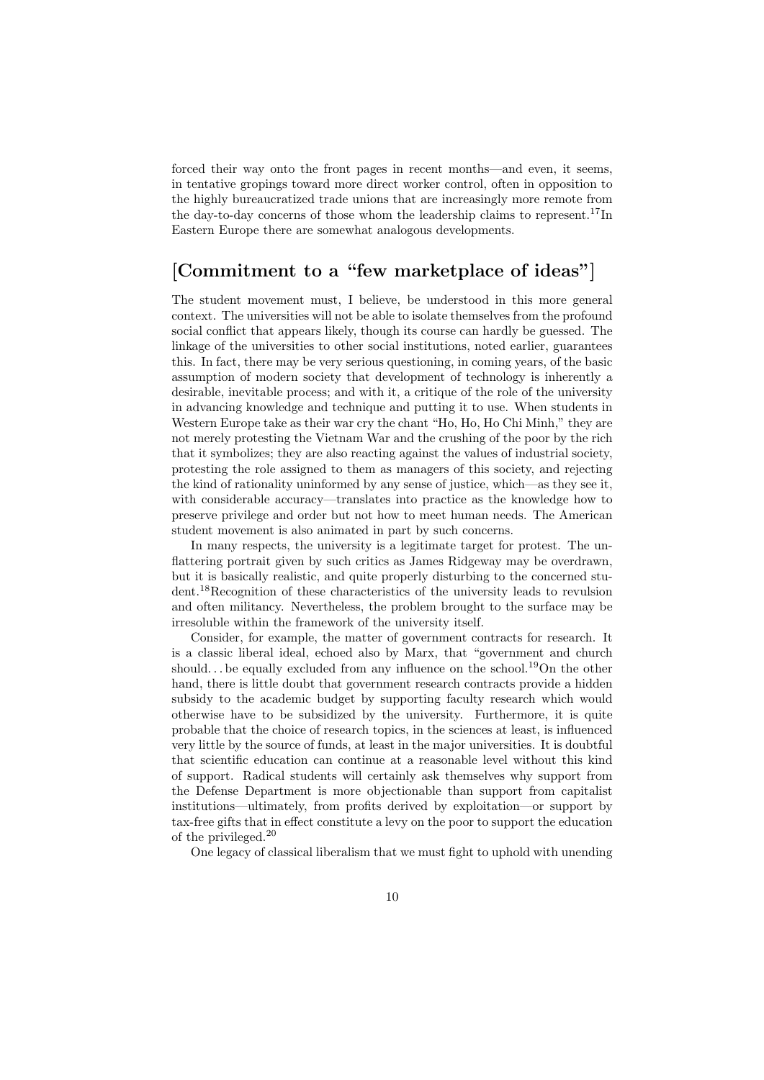forced their way onto the front pages in recent months—and even, it seems, in tentative gropings toward more direct worker control, often in opposition to the highly bureaucratized trade unions that are increasingly more remote from the day-to-day concerns of those whom the leadership claims to represent.<sup>17</sup>In Eastern Europe there are somewhat analogous developments.

### [Commitment to a "few marketplace of ideas"]

The student movement must, I believe, be understood in this more general context. The universities will not be able to isolate themselves from the profound social conflict that appears likely, though its course can hardly be guessed. The linkage of the universities to other social institutions, noted earlier, guarantees this. In fact, there may be very serious questioning, in coming years, of the basic assumption of modern society that development of technology is inherently a desirable, inevitable process; and with it, a critique of the role of the university in advancing knowledge and technique and putting it to use. When students in Western Europe take as their war cry the chant "Ho, Ho, Ho Chi Minh," they are not merely protesting the Vietnam War and the crushing of the poor by the rich that it symbolizes; they are also reacting against the values of industrial society, protesting the role assigned to them as managers of this society, and rejecting the kind of rationality uninformed by any sense of justice, which—as they see it, with considerable accuracy—translates into practice as the knowledge how to preserve privilege and order but not how to meet human needs. The American student movement is also animated in part by such concerns.

In many respects, the university is a legitimate target for protest. The unflattering portrait given by such critics as James Ridgeway may be overdrawn, but it is basically realistic, and quite properly disturbing to the concerned student.18Recognition of these characteristics of the university leads to revulsion and often militancy. Nevertheless, the problem brought to the surface may be irresoluble within the framework of the university itself.

Consider, for example, the matter of government contracts for research. It is a classic liberal ideal, echoed also by Marx, that "government and church should... be equally excluded from any influence on the school.<sup>19</sup>On the other hand, there is little doubt that government research contracts provide a hidden subsidy to the academic budget by supporting faculty research which would otherwise have to be subsidized by the university. Furthermore, it is quite probable that the choice of research topics, in the sciences at least, is influenced very little by the source of funds, at least in the major universities. It is doubtful that scientific education can continue at a reasonable level without this kind of support. Radical students will certainly ask themselves why support from the Defense Department is more objectionable than support from capitalist institutions—ultimately, from profits derived by exploitation—or support by tax-free gifts that in effect constitute a levy on the poor to support the education of the privileged.<sup>20</sup>

One legacy of classical liberalism that we must fight to uphold with unending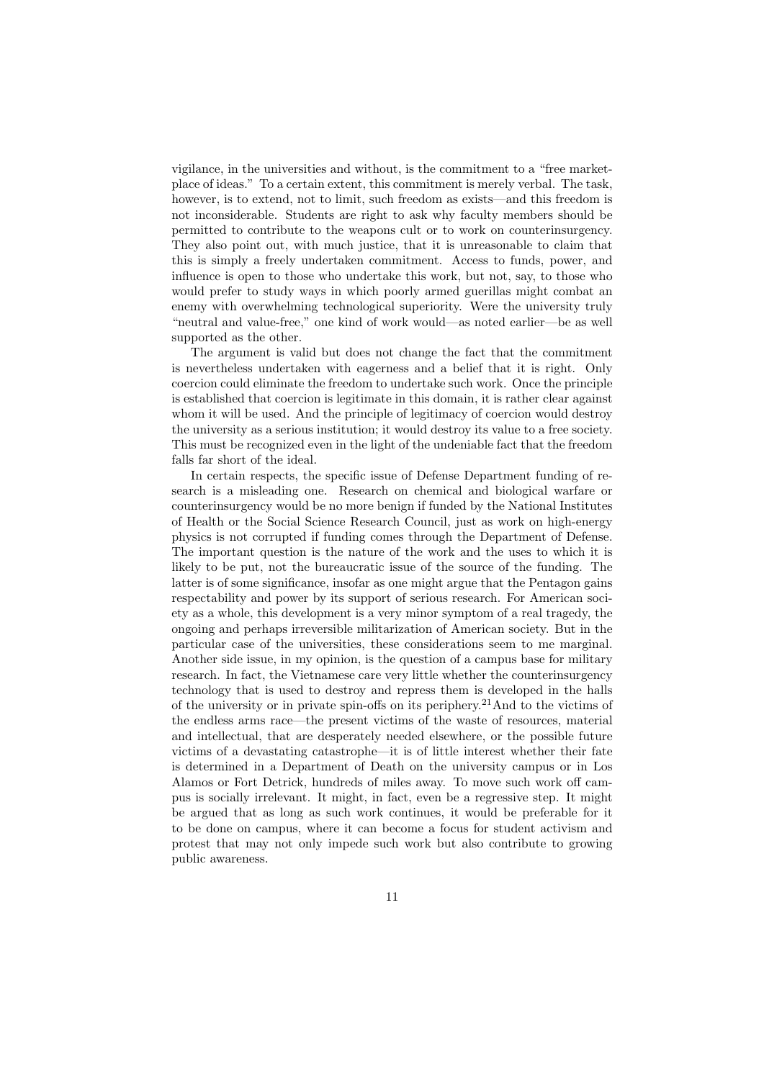vigilance, in the universities and without, is the commitment to a "free marketplace of ideas." To a certain extent, this commitment is merely verbal. The task, however, is to extend, not to limit, such freedom as exists—and this freedom is not inconsiderable. Students are right to ask why faculty members should be permitted to contribute to the weapons cult or to work on counterinsurgency. They also point out, with much justice, that it is unreasonable to claim that this is simply a freely undertaken commitment. Access to funds, power, and influence is open to those who undertake this work, but not, say, to those who would prefer to study ways in which poorly armed guerillas might combat an enemy with overwhelming technological superiority. Were the university truly "neutral and value-free," one kind of work would—as noted earlier—be as well supported as the other.

The argument is valid but does not change the fact that the commitment is nevertheless undertaken with eagerness and a belief that it is right. Only coercion could eliminate the freedom to undertake such work. Once the principle is established that coercion is legitimate in this domain, it is rather clear against whom it will be used. And the principle of legitimacy of coercion would destroy the university as a serious institution; it would destroy its value to a free society. This must be recognized even in the light of the undeniable fact that the freedom falls far short of the ideal.

In certain respects, the specific issue of Defense Department funding of research is a misleading one. Research on chemical and biological warfare or counterinsurgency would be no more benign if funded by the National Institutes of Health or the Social Science Research Council, just as work on high-energy physics is not corrupted if funding comes through the Department of Defense. The important question is the nature of the work and the uses to which it is likely to be put, not the bureaucratic issue of the source of the funding. The latter is of some significance, insofar as one might argue that the Pentagon gains respectability and power by its support of serious research. For American society as a whole, this development is a very minor symptom of a real tragedy, the ongoing and perhaps irreversible militarization of American society. But in the particular case of the universities, these considerations seem to me marginal. Another side issue, in my opinion, is the question of a campus base for military research. In fact, the Vietnamese care very little whether the counterinsurgency technology that is used to destroy and repress them is developed in the halls of the university or in private spin-offs on its periphery.<sup>21</sup>And to the victims of the endless arms race—the present victims of the waste of resources, material and intellectual, that are desperately needed elsewhere, or the possible future victims of a devastating catastrophe—it is of little interest whether their fate is determined in a Department of Death on the university campus or in Los Alamos or Fort Detrick, hundreds of miles away. To move such work off campus is socially irrelevant. It might, in fact, even be a regressive step. It might be argued that as long as such work continues, it would be preferable for it to be done on campus, where it can become a focus for student activism and protest that may not only impede such work but also contribute to growing public awareness.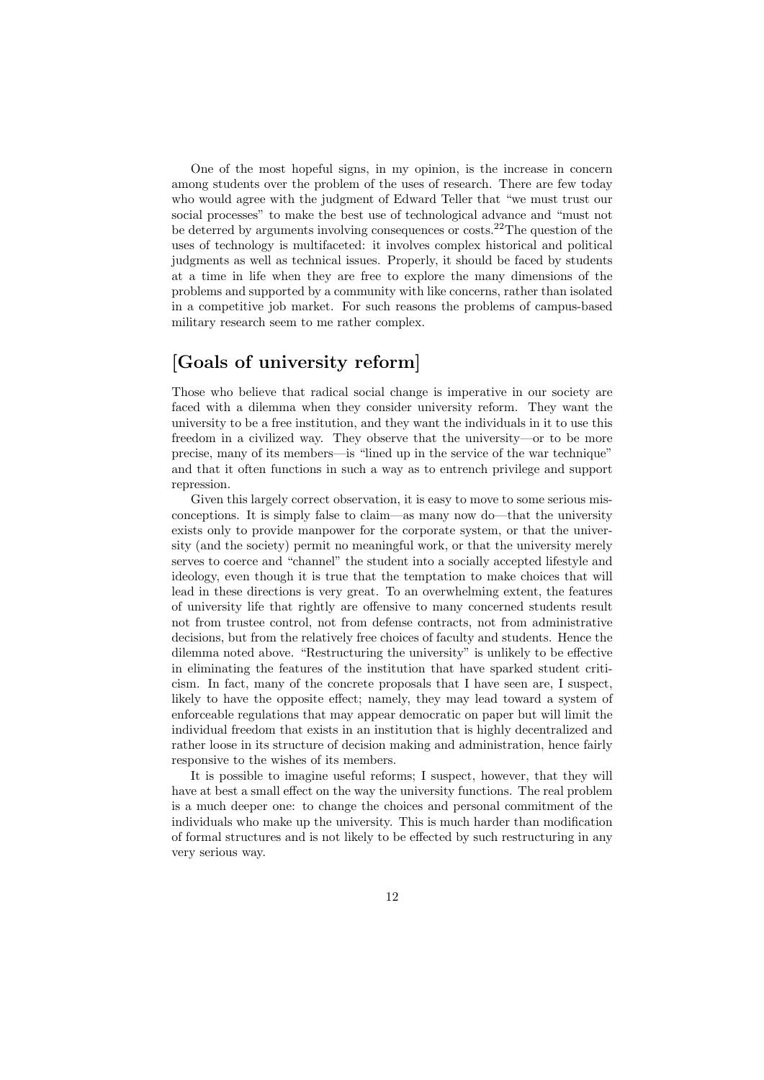One of the most hopeful signs, in my opinion, is the increase in concern among students over the problem of the uses of research. There are few today who would agree with the judgment of Edward Teller that "we must trust our social processes" to make the best use of technological advance and "must not be deterred by arguments involving consequences or costs.22The question of the uses of technology is multifaceted: it involves complex historical and political judgments as well as technical issues. Properly, it should be faced by students at a time in life when they are free to explore the many dimensions of the problems and supported by a community with like concerns, rather than isolated in a competitive job market. For such reasons the problems of campus-based military research seem to me rather complex.

### [Goals of university reform]

Those who believe that radical social change is imperative in our society are faced with a dilemma when they consider university reform. They want the university to be a free institution, and they want the individuals in it to use this freedom in a civilized way. They observe that the university—or to be more precise, many of its members—is "lined up in the service of the war technique" and that it often functions in such a way as to entrench privilege and support repression.

Given this largely correct observation, it is easy to move to some serious misconceptions. It is simply false to claim—as many now do—that the university exists only to provide manpower for the corporate system, or that the university (and the society) permit no meaningful work, or that the university merely serves to coerce and "channel" the student into a socially accepted lifestyle and ideology, even though it is true that the temptation to make choices that will lead in these directions is very great. To an overwhelming extent, the features of university life that rightly are offensive to many concerned students result not from trustee control, not from defense contracts, not from administrative decisions, but from the relatively free choices of faculty and students. Hence the dilemma noted above. "Restructuring the university" is unlikely to be effective in eliminating the features of the institution that have sparked student criticism. In fact, many of the concrete proposals that I have seen are, I suspect, likely to have the opposite effect; namely, they may lead toward a system of enforceable regulations that may appear democratic on paper but will limit the individual freedom that exists in an institution that is highly decentralized and rather loose in its structure of decision making and administration, hence fairly responsive to the wishes of its members.

It is possible to imagine useful reforms; I suspect, however, that they will have at best a small effect on the way the university functions. The real problem is a much deeper one: to change the choices and personal commitment of the individuals who make up the university. This is much harder than modification of formal structures and is not likely to be effected by such restructuring in any very serious way.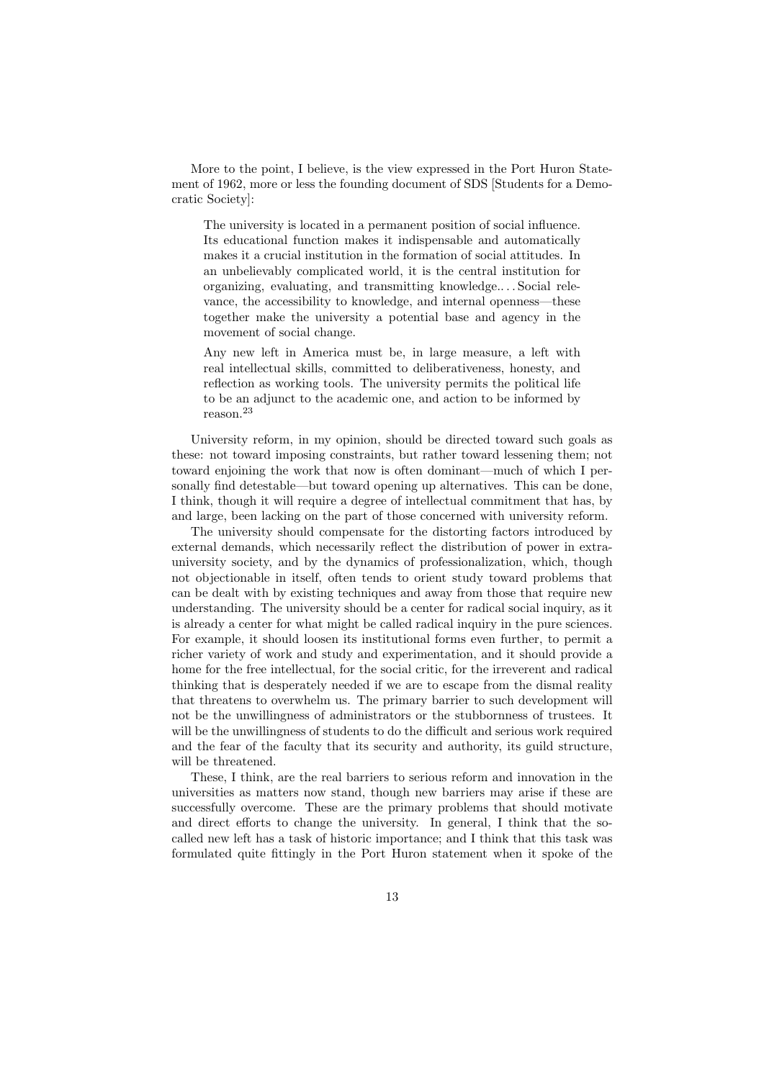More to the point, I believe, is the view expressed in the Port Huron Statement of 1962, more or less the founding document of SDS [Students for a Democratic Society]:

The university is located in a permanent position of social influence. Its educational function makes it indispensable and automatically makes it a crucial institution in the formation of social attitudes. In an unbelievably complicated world, it is the central institution for organizing, evaluating, and transmitting knowledge.. . . Social relevance, the accessibility to knowledge, and internal openness—these together make the university a potential base and agency in the movement of social change.

Any new left in America must be, in large measure, a left with real intellectual skills, committed to deliberativeness, honesty, and reflection as working tools. The university permits the political life to be an adjunct to the academic one, and action to be informed by reason.<sup>23</sup>

University reform, in my opinion, should be directed toward such goals as these: not toward imposing constraints, but rather toward lessening them; not toward enjoining the work that now is often dominant—much of which I personally find detestable—but toward opening up alternatives. This can be done, I think, though it will require a degree of intellectual commitment that has, by and large, been lacking on the part of those concerned with university reform.

The university should compensate for the distorting factors introduced by external demands, which necessarily reflect the distribution of power in extrauniversity society, and by the dynamics of professionalization, which, though not objectionable in itself, often tends to orient study toward problems that can be dealt with by existing techniques and away from those that require new understanding. The university should be a center for radical social inquiry, as it is already a center for what might be called radical inquiry in the pure sciences. For example, it should loosen its institutional forms even further, to permit a richer variety of work and study and experimentation, and it should provide a home for the free intellectual, for the social critic, for the irreverent and radical thinking that is desperately needed if we are to escape from the dismal reality that threatens to overwhelm us. The primary barrier to such development will not be the unwillingness of administrators or the stubbornness of trustees. It will be the unwillingness of students to do the difficult and serious work required and the fear of the faculty that its security and authority, its guild structure, will be threatened.

These, I think, are the real barriers to serious reform and innovation in the universities as matters now stand, though new barriers may arise if these are successfully overcome. These are the primary problems that should motivate and direct efforts to change the university. In general, I think that the socalled new left has a task of historic importance; and I think that this task was formulated quite fittingly in the Port Huron statement when it spoke of the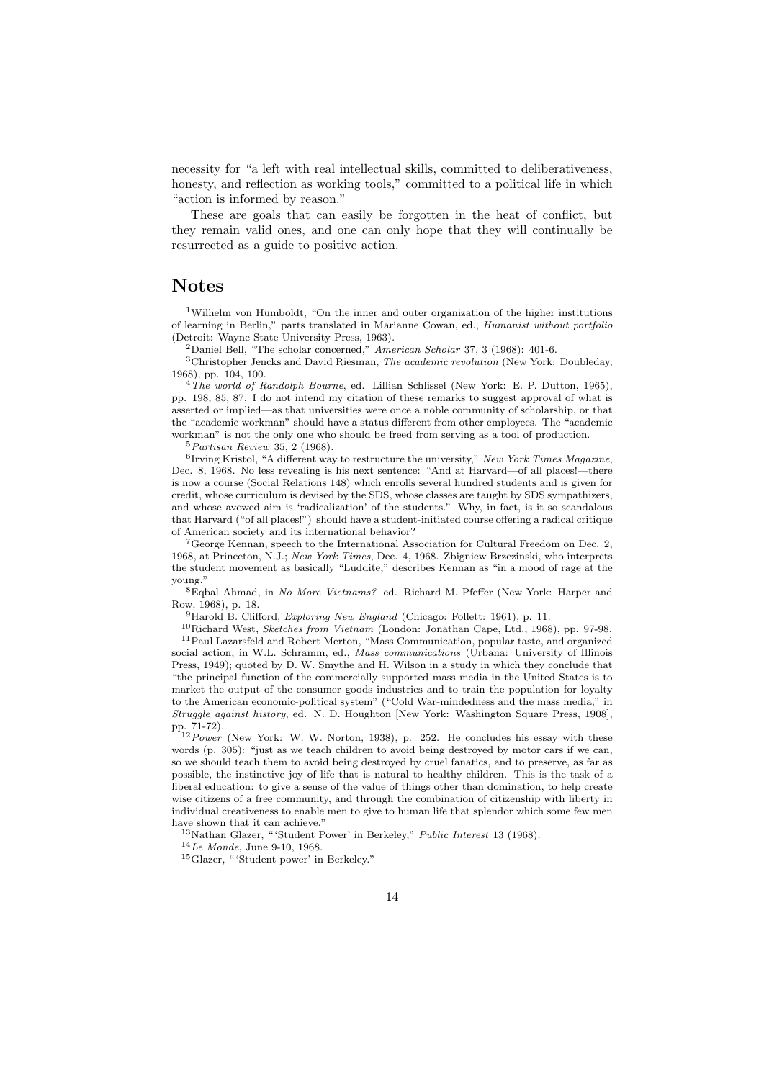necessity for "a left with real intellectual skills, committed to deliberativeness, honesty, and reflection as working tools," committed to a political life in which "action is informed by reason."

These are goals that can easily be forgotten in the heat of conflict, but they remain valid ones, and one can only hope that they will continually be resurrected as a guide to positive action.

#### Notes

<sup>1</sup>Wilhelm von Humboldt, "On the inner and outer organization of the higher institutions of learning in Berlin," parts translated in Marianne Cowan, ed., Humanist without portfolio (Detroit: Wayne State University Press, 1963).

<sup>2</sup>Daniel Bell, "The scholar concerned," American Scholar 37, 3 (1968): 401-6.

<sup>3</sup>Christopher Jencks and David Riesman, The academic revolution (New York: Doubleday, 1968), pp. 104, 100.

<sup>4</sup>The world of Randolph Bourne, ed. Lillian Schlissel (New York: E. P. Dutton, 1965), pp. 198, 85, 87. I do not intend my citation of these remarks to suggest approval of what is asserted or implied—as that universities were once a noble community of scholarship, or that the "academic workman" should have a status different from other employees. The "academic workman" is not the only one who should be freed from serving as a tool of production.

 $5$  Partisan Review 35, 2 (1968).

<sup>6</sup> Irving Kristol, "A different way to restructure the university," New York Times Magazine, Dec. 8, 1968. No less revealing is his next sentence: "And at Harvard—of all places!—there is now a course (Social Relations 148) which enrolls several hundred students and is given for credit, whose curriculum is devised by the SDS, whose classes are taught by SDS sympathizers, and whose avowed aim is 'radicalization' of the students." Why, in fact, is it so scandalous that Harvard ("of all places!") should have a student-initiated course offering a radical critique of American society and its international behavior?

<sup>7</sup>George Kennan, speech to the International Association for Cultural Freedom on Dec. 2, 1968, at Princeton, N.J.; New York Times, Dec. 4, 1968. Zbigniew Brzezinski, who interprets the student movement as basically "Luddite," describes Kennan as "in a mood of rage at the young."

<sup>8</sup>Eqbal Ahmad, in No More Vietnams? ed. Richard M. Pfeffer (New York: Harper and Row, 1968), p. 18.

<sup>9</sup>Harold B. Clifford, *Exploring New England* (Chicago: Follett: 1961), p. 11.

<sup>10</sup>Richard West, Sketches from Vietnam (London: Jonathan Cape, Ltd., 1968), pp. 97-98.

<sup>11</sup>Paul Lazarsfeld and Robert Merton, "Mass Communication, popular taste, and organized social action, in W.L. Schramm, ed., Mass communications (Urbana: University of Illinois Press, 1949); quoted by D. W. Smythe and H. Wilson in a study in which they conclude that "the principal function of the commercially supported mass media in the United States is to market the output of the consumer goods industries and to train the population for loyalty to the American economic-political system" ("Cold War-mindedness and the mass media," in Struggle against history, ed. N. D. Houghton [New York: Washington Square Press, 1908], pp. 71-72).

 $12 Power$  (New York: W. W. Norton, 1938), p. 252. He concludes his essay with these words (p. 305): "just as we teach children to avoid being destroyed by motor cars if we can, so we should teach them to avoid being destroyed by cruel fanatics, and to preserve, as far as possible, the instinctive joy of life that is natural to healthy children. This is the task of a liberal education: to give a sense of the value of things other than domination, to help create wise citizens of a free community, and through the combination of citizenship with liberty in individual creativeness to enable men to give to human life that splendor which some few men have shown that it can achieve."

<sup>13</sup>Nathan Glazer, "'Student Power' in Berkeley," Public Interest 13 (1968).

<sup>14</sup>Le Monde, June 9-10, 1968.

<sup>15</sup>Glazer, "'Student power' in Berkeley."